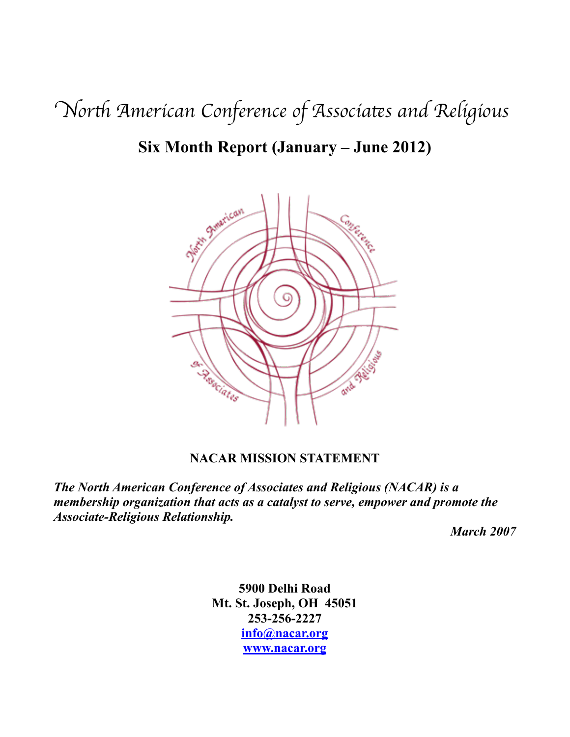N*or*t *American Conference of Associa*t*s and Religiou*s

# **Six Month Report (January – June 2012)**



# **NACAR MISSION STATEMENT**

*The North American Conference of Associates and Religious (NACAR) is a membership organization that acts as a catalyst to serve, empower and promote the Associate-Religious Relationship.*

*March 2007*

**5900 Delhi Road Mt. St. Joseph, OH 45051 253-256-2227 [info@nacar.org](mailto:info@nacar.org) [www.nacar.org](http://www.nacar.org)**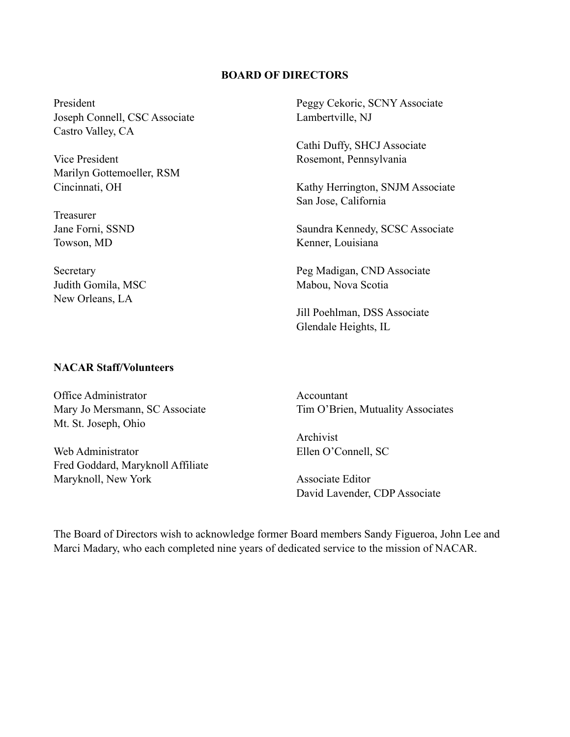#### **BOARD OF DIRECTORS**

President Joseph Connell, CSC Associate Castro Valley, CA

Vice President Marilyn Gottemoeller, RSM Cincinnati, OH

Treasurer Jane Forni, SSND Towson, MD

Secretary Judith Gomila, MSC New Orleans, LA

Peggy Cekoric, SCNY Associate Lambertville, NJ

Cathi Duffy, SHCJ Associate Rosemont, Pennsylvania

Kathy Herrington, SNJM Associate San Jose, California

Saundra Kennedy, SCSC Associate Kenner, Louisiana

Peg Madigan, CND Associate Mabou, Nova Scotia

Jill Poehlman, DSS Associate Glendale Heights, IL

#### **NACAR Staff/Volunteers**

Office Administrator Mary Jo Mersmann, SC Associate Mt. St. Joseph, Ohio

Web Administrator Fred Goddard, Maryknoll Affiliate Maryknoll, New York

Accountant Tim O'Brien, Mutuality Associates

Archivist Ellen O'Connell, SC

Associate Editor David Lavender, CDP Associate

The Board of Directors wish to acknowledge former Board members Sandy Figueroa, John Lee and Marci Madary, who each completed nine years of dedicated service to the mission of NACAR.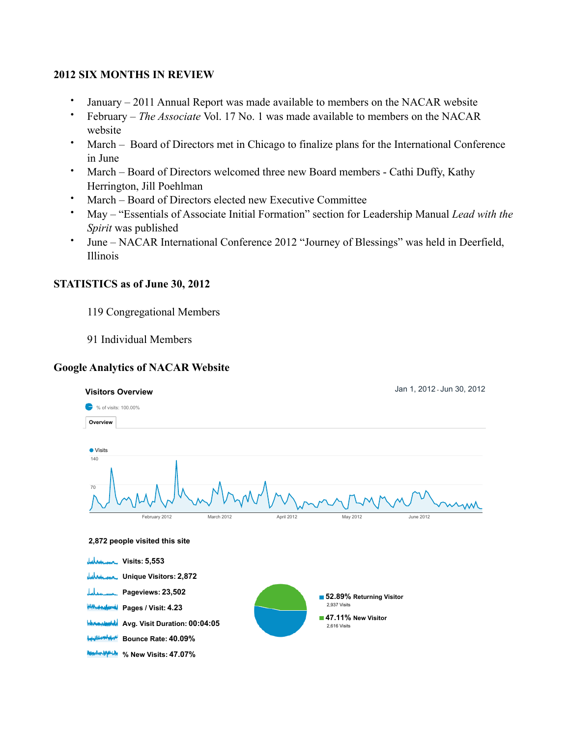### **2012 SIX MONTHS IN REVIEW**

- January 2011 Annual Report was made available to members on the NACAR website
- February *The Associate* Vol. 17 No. 1 was made available to members on the NACAR website
- March Board of Directors met in Chicago to finalize plans for the International Conference in June
- March Board of Directors welcomed three new Board members Cathi Duffy, Kathy Herrington, Jill Poehlman
- March Board of Directors elected new Executive Committee
- May "Essentials of Associate Initial Formation" section for Leadership Manual *Lead with the Spirit* was published
- June NACAR International Conference 2012 "Journey of Blessings" was held in Deerfield, Illinois

## **STATISTICS as of June 30, 2012**

- 119 Congregational Members
- 91 Individual Members

# **Google Analytics of NACAR Website**